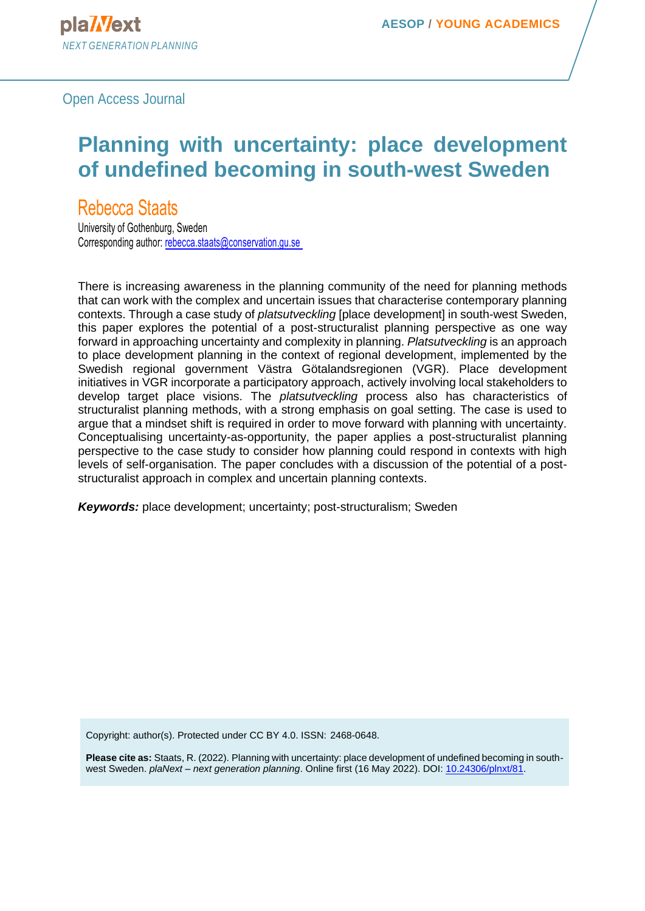# **Planning with uncertainty: place development of undefined becoming in south-west Sweden**

Rebecca Staats

University of Gothenburg, Sweden Corresponding author[: rebecca.staats@conservation.gu.se](mailto:rebecca.staats@conservation.gu.se)

There is increasing awareness in the planning community of the need for planning methods that can work with the complex and uncertain issues that characterise contemporary planning contexts. Through a case study of *platsutveckling* [place development] in south-west Sweden, this paper explores the potential of a post-structuralist planning perspective as one way forward in approaching uncertainty and complexity in planning. *Platsutveckling* is an approach to place development planning in the context of regional development, implemented by the Swedish regional government Västra Götalandsregionen (VGR). Place development initiatives in VGR incorporate a participatory approach, actively involving local stakeholders to develop target place visions. The *platsutveckling* process also has characteristics of structuralist planning methods, with a strong emphasis on goal setting. The case is used to argue that a mindset shift is required in order to move forward with planning with uncertainty. Conceptualising uncertainty-as-opportunity, the paper applies a post-structuralist planning perspective to the case study to consider how planning could respond in contexts with high levels of self-organisation. The paper concludes with a discussion of the potential of a poststructuralist approach in complex and uncertain planning contexts.

*Keywords:* place development; uncertainty; post-structuralism; Sweden

Copyright: author(s). Protected under CC BY 4.0. ISSN: 2468-0648.

**Please cite as:** Staats, R. (2022). Planning with uncertainty: place development of undefined becoming in southwest Sweden. *plaNext – next generation planning*. Online first (16 May 2022). DOI: [10.24306/plnxt/81.](https://doi.org/10.24306/plnxt/81)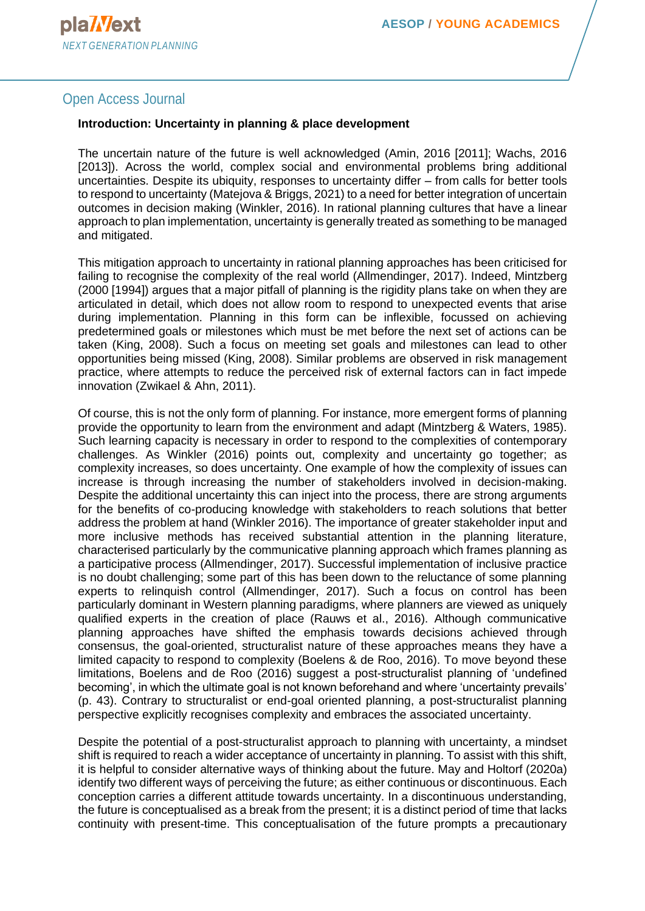#### **Introduction: Uncertainty in planning & place development**

The uncertain nature of the future is well acknowledged (Amin, 2016 [2011]; Wachs, 2016 [2013]). Across the world, complex social and environmental problems bring additional uncertainties. Despite its ubiquity, responses to uncertainty differ – from calls for better tools to respond to uncertainty (Matejova & Briggs, 2021) to a need for better integration of uncertain outcomes in decision making (Winkler, 2016). In rational planning cultures that have a linear approach to plan implementation, uncertainty is generally treated as something to be managed and mitigated.

This mitigation approach to uncertainty in rational planning approaches has been criticised for failing to recognise the complexity of the real world (Allmendinger, 2017). Indeed, Mintzberg (2000 [1994]) argues that a major pitfall of planning is the rigidity plans take on when they are articulated in detail, which does not allow room to respond to unexpected events that arise during implementation. Planning in this form can be inflexible, focussed on achieving predetermined goals or milestones which must be met before the next set of actions can be taken (King, 2008). Such a focus on meeting set goals and milestones can lead to other opportunities being missed (King, 2008). Similar problems are observed in risk management practice, where attempts to reduce the perceived risk of external factors can in fact impede innovation (Zwikael & Ahn, 2011).

Of course, this is not the only form of planning. For instance, more emergent forms of planning provide the opportunity to learn from the environment and adapt (Mintzberg & Waters, 1985). Such learning capacity is necessary in order to respond to the complexities of contemporary challenges. As Winkler (2016) points out, complexity and uncertainty go together; as complexity increases, so does uncertainty. One example of how the complexity of issues can increase is through increasing the number of stakeholders involved in decision-making. Despite the additional uncertainty this can inject into the process, there are strong arguments for the benefits of co-producing knowledge with stakeholders to reach solutions that better address the problem at hand (Winkler 2016). The importance of greater stakeholder input and more inclusive methods has received substantial attention in the planning literature, characterised particularly by the communicative planning approach which frames planning as a participative process (Allmendinger, 2017). Successful implementation of inclusive practice is no doubt challenging; some part of this has been down to the reluctance of some planning experts to relinquish control (Allmendinger, 2017). Such a focus on control has been particularly dominant in Western planning paradigms, where planners are viewed as uniquely qualified experts in the creation of place (Rauws et al., 2016). Although communicative planning approaches have shifted the emphasis towards decisions achieved through consensus, the goal-oriented, structuralist nature of these approaches means they have a limited capacity to respond to complexity (Boelens & de Roo, 2016). To move beyond these limitations, Boelens and de Roo (2016) suggest a post-structuralist planning of 'undefined becoming', in which the ultimate goal is not known beforehand and where 'uncertainty prevails' (p. 43). Contrary to structuralist or end-goal oriented planning, a post-structuralist planning perspective explicitly recognises complexity and embraces the associated uncertainty.

Despite the potential of a post-structuralist approach to planning with uncertainty, a mindset shift is required to reach a wider acceptance of uncertainty in planning. To assist with this shift, it is helpful to consider alternative ways of thinking about the future. May and Holtorf (2020a) identify two different ways of perceiving the future; as either continuous or discontinuous. Each conception carries a different attitude towards uncertainty. In a discontinuous understanding, the future is conceptualised as a break from the present; it is a distinct period of time that lacks continuity with present-time. This conceptualisation of the future prompts a precautionary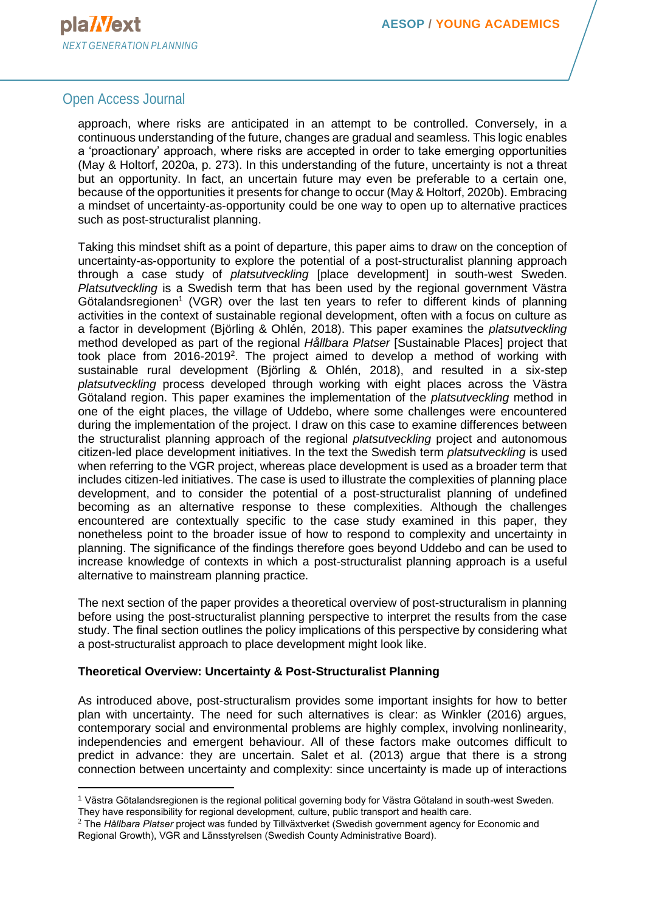

approach, where risks are anticipated in an attempt to be controlled. Conversely, in a continuous understanding of the future, changes are gradual and seamless. This logic enables a 'proactionary' approach, where risks are accepted in order to take emerging opportunities (May & Holtorf, 2020a, p. 273). In this understanding of the future, uncertainty is not a threat but an opportunity. In fact, an uncertain future may even be preferable to a certain one, because of the opportunities it presents for change to occur (May & Holtorf, 2020b). Embracing a mindset of uncertainty-as-opportunity could be one way to open up to alternative practices such as post-structuralist planning.

Taking this mindset shift as a point of departure, this paper aims to draw on the conception of uncertainty-as-opportunity to explore the potential of a post-structuralist planning approach through a case study of *platsutveckling* [place development] in south-west Sweden. *Platsutveckling* is a Swedish term that has been used by the regional government Västra Götalandsregionen<sup>1</sup> (VGR) over the last ten years to refer to different kinds of planning activities in the context of sustainable regional development, often with a focus on culture as a factor in development (Björling & Ohlén, 2018). This paper examines the *platsutveckling*  method developed as part of the regional *Hållbara Platser* [Sustainable Places] project that took place from 2016-2019<sup>2</sup>. The project aimed to develop a method of working with sustainable rural development (Björling & Ohlén, 2018), and resulted in a six-step *platsutveckling* process developed through working with eight places across the Västra Götaland region. This paper examines the implementation of the *platsutveckling* method in one of the eight places, the village of Uddebo, where some challenges were encountered during the implementation of the project. I draw on this case to examine differences between the structuralist planning approach of the regional *platsutveckling* project and autonomous citizen-led place development initiatives. In the text the Swedish term *platsutveckling* is used when referring to the VGR project, whereas place development is used as a broader term that includes citizen-led initiatives. The case is used to illustrate the complexities of planning place development, and to consider the potential of a post-structuralist planning of undefined becoming as an alternative response to these complexities. Although the challenges encountered are contextually specific to the case study examined in this paper, they nonetheless point to the broader issue of how to respond to complexity and uncertainty in planning. The significance of the findings therefore goes beyond Uddebo and can be used to increase knowledge of contexts in which a post-structuralist planning approach is a useful alternative to mainstream planning practice.

The next section of the paper provides a theoretical overview of post-structuralism in planning before using the post-structuralist planning perspective to interpret the results from the case study. The final section outlines the policy implications of this perspective by considering what a post-structuralist approach to place development might look like.

#### **Theoretical Overview: Uncertainty & Post-Structuralist Planning**

As introduced above, post-structuralism provides some important insights for how to better plan with uncertainty. The need for such alternatives is clear: as Winkler (2016) argues, contemporary social and environmental problems are highly complex, involving nonlinearity, independencies and emergent behaviour. All of these factors make outcomes difficult to predict in advance: they are uncertain. Salet et al. (2013) argue that there is a strong connection between uncertainty and complexity: since uncertainty is made up of interactions

<sup>1</sup> Västra Götalandsregionen is the regional political governing body for Västra Götaland in south-west Sweden. They have responsibility for regional development, culture, public transport and health care.

<sup>2</sup> The *Hållbara Platser* project was funded by Tillväxtverket (Swedish government agency for Economic and Regional Growth), VGR and Länsstyrelsen (Swedish County Administrative Board).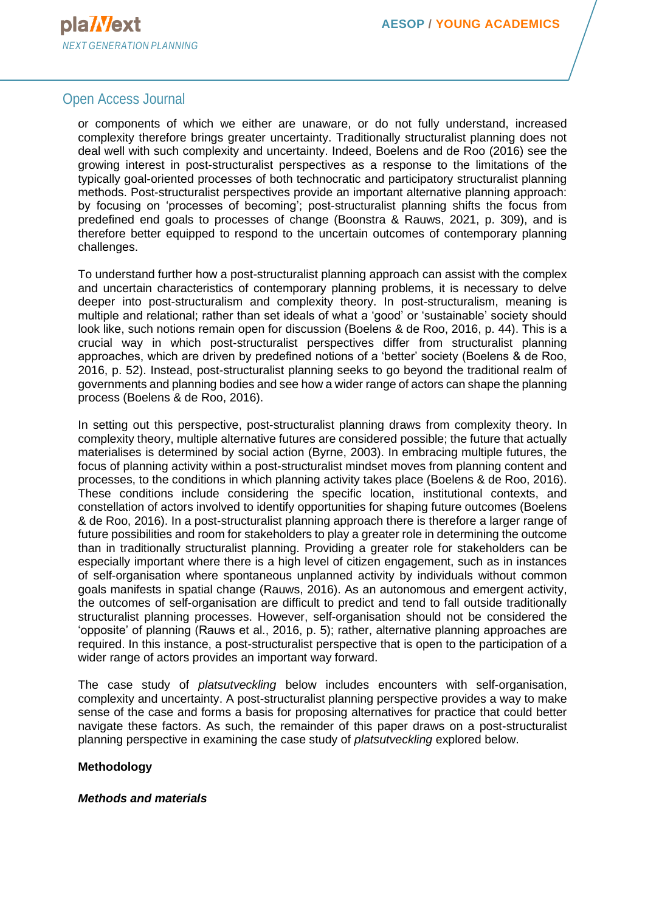

or components of which we either are unaware, or do not fully understand, increased complexity therefore brings greater uncertainty. Traditionally structuralist planning does not deal well with such complexity and uncertainty. Indeed, Boelens and de Roo (2016) see the growing interest in post-structuralist perspectives as a response to the limitations of the typically goal-oriented processes of both technocratic and participatory structuralist planning methods. Post-structuralist perspectives provide an important alternative planning approach: by focusing on 'processes of becoming'; post-structuralist planning shifts the focus from predefined end goals to processes of change (Boonstra & Rauws, 2021, p. 309), and is therefore better equipped to respond to the uncertain outcomes of contemporary planning challenges.

To understand further how a post-structuralist planning approach can assist with the complex and uncertain characteristics of contemporary planning problems, it is necessary to delve deeper into post-structuralism and complexity theory. In post-structuralism, meaning is multiple and relational; rather than set ideals of what a 'good' or 'sustainable' society should look like, such notions remain open for discussion (Boelens & de Roo, 2016, p. 44). This is a crucial way in which post-structuralist perspectives differ from structuralist planning approaches, which are driven by predefined notions of a 'better' society (Boelens & de Roo, 2016, p. 52). Instead, post-structuralist planning seeks to go beyond the traditional realm of governments and planning bodies and see how a wider range of actors can shape the planning process (Boelens & de Roo, 2016).

In setting out this perspective, post-structuralist planning draws from complexity theory. In complexity theory, multiple alternative futures are considered possible; the future that actually materialises is determined by social action (Byrne, 2003). In embracing multiple futures, the focus of planning activity within a post-structuralist mindset moves from planning content and processes, to the conditions in which planning activity takes place (Boelens & de Roo, 2016). These conditions include considering the specific location, institutional contexts, and constellation of actors involved to identify opportunities for shaping future outcomes (Boelens & de Roo, 2016). In a post-structuralist planning approach there is therefore a larger range of future possibilities and room for stakeholders to play a greater role in determining the outcome than in traditionally structuralist planning. Providing a greater role for stakeholders can be especially important where there is a high level of citizen engagement, such as in instances of self-organisation where spontaneous unplanned activity by individuals without common goals manifests in spatial change (Rauws, 2016). As an autonomous and emergent activity, the outcomes of self-organisation are difficult to predict and tend to fall outside traditionally structuralist planning processes. However, self-organisation should not be considered the 'opposite' of planning (Rauws et al., 2016, p. 5); rather, alternative planning approaches are required. In this instance, a post-structuralist perspective that is open to the participation of a wider range of actors provides an important way forward.

The case study of *platsutveckling* below includes encounters with self-organisation, complexity and uncertainty. A post-structuralist planning perspective provides a way to make sense of the case and forms a basis for proposing alternatives for practice that could better navigate these factors. As such, the remainder of this paper draws on a post-structuralist planning perspective in examining the case study of *platsutveckling* explored below.

#### **Methodology**

#### *Methods and materials*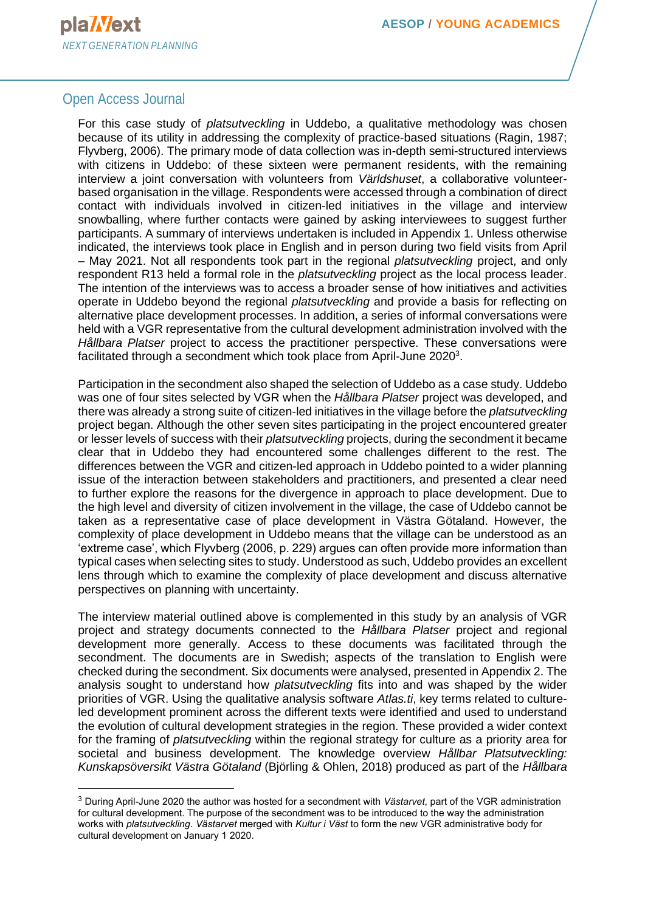

For this case study of *platsutveckling* in Uddebo, a qualitative methodology was chosen because of its utility in addressing the complexity of practice-based situations (Ragin, 1987; Flyvberg, 2006). The primary mode of data collection was in-depth semi-structured interviews with citizens in Uddebo: of these sixteen were permanent residents, with the remaining interview a joint conversation with volunteers from *Världshuset*, a collaborative volunteerbased organisation in the village. Respondents were accessed through a combination of direct contact with individuals involved in citizen-led initiatives in the village and interview snowballing, where further contacts were gained by asking interviewees to suggest further participants. A summary of interviews undertaken is included in Appendix 1. Unless otherwise indicated, the interviews took place in English and in person during two field visits from April – May 2021. Not all respondents took part in the regional *platsutveckling* project, and only respondent R13 held a formal role in the *platsutveckling* project as the local process leader. The intention of the interviews was to access a broader sense of how initiatives and activities operate in Uddebo beyond the regional *platsutveckling* and provide a basis for reflecting on alternative place development processes. In addition, a series of informal conversations were held with a VGR representative from the cultural development administration involved with the *Hållbara Platser* project to access the practitioner perspective. These conversations were facilitated through a secondment which took place from April-June 2020<sup>3</sup>.

Participation in the secondment also shaped the selection of Uddebo as a case study. Uddebo was one of four sites selected by VGR when the *Hållbara Platser* project was developed, and there was already a strong suite of citizen-led initiatives in the village before the *platsutveckling*  project began. Although the other seven sites participating in the project encountered greater or lesser levels of success with their *platsutveckling* projects, during the secondment it became clear that in Uddebo they had encountered some challenges different to the rest. The differences between the VGR and citizen-led approach in Uddebo pointed to a wider planning issue of the interaction between stakeholders and practitioners, and presented a clear need to further explore the reasons for the divergence in approach to place development. Due to the high level and diversity of citizen involvement in the village, the case of Uddebo cannot be taken as a representative case of place development in Västra Götaland. However, the complexity of place development in Uddebo means that the village can be understood as an 'extreme case', which Flyvberg (2006, p. 229) argues can often provide more information than typical cases when selecting sites to study. Understood as such, Uddebo provides an excellent lens through which to examine the complexity of place development and discuss alternative perspectives on planning with uncertainty.

The interview material outlined above is complemented in this study by an analysis of VGR project and strategy documents connected to the *Hållbara Platser* project and regional development more generally. Access to these documents was facilitated through the secondment. The documents are in Swedish; aspects of the translation to English were checked during the secondment. Six documents were analysed, presented in Appendix 2. The analysis sought to understand how *platsutveckling* fits into and was shaped by the wider priorities of VGR. Using the qualitative analysis software *Atlas.ti*, key terms related to cultureled development prominent across the different texts were identified and used to understand the evolution of cultural development strategies in the region. These provided a wider context for the framing of *platsutveckling* within the regional strategy for culture as a priority area for societal and business development. The knowledge overview *Hållbar Platsutveckling: Kunskapsöversikt Västra Götaland* (Björling & Ohlen, 2018) produced as part of the *Hållbara* 

<sup>3</sup> During April-June 2020 the author was hosted for a secondment with *Västarvet*, part of the VGR administration for cultural development. The purpose of the secondment was to be introduced to the way the administration works with *platsutveckling*. *Västarvet* merged with *Kultur i Väst* to form the new VGR administrative body for cultural development on January 1 2020.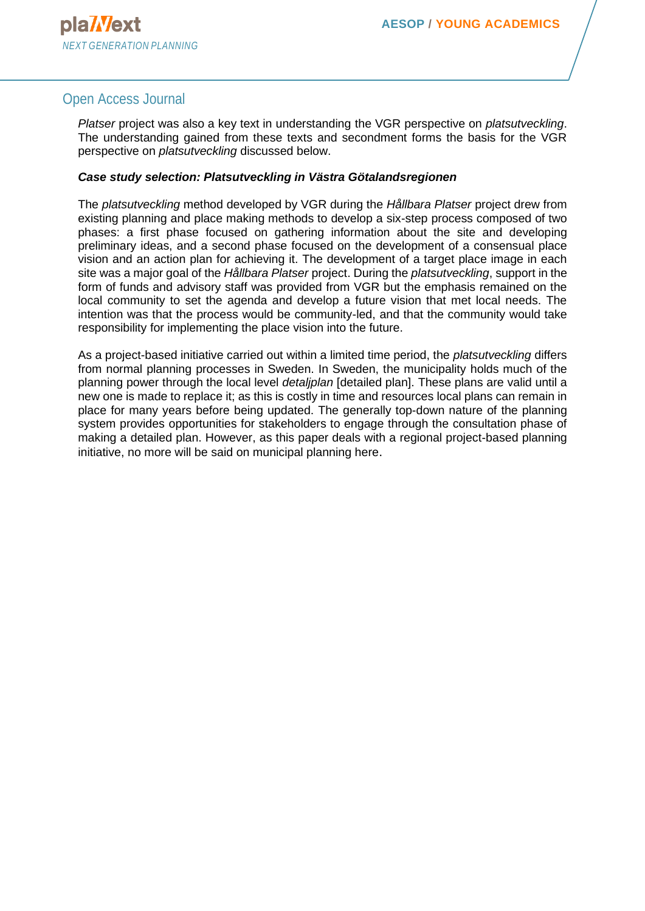*Platser* project was also a key text in understanding the VGR perspective on *platsutveckling*. The understanding gained from these texts and secondment forms the basis for the VGR perspective on *platsutveckling* discussed below.

#### *Case study selection: Platsutveckling in Västra Götalandsregionen*

The *platsutveckling* method developed by VGR during the *Hållbara Platser* project drew from existing planning and place making methods to develop a six-step process composed of two phases: a first phase focused on gathering information about the site and developing preliminary ideas, and a second phase focused on the development of a consensual place vision and an action plan for achieving it. The development of a target place image in each site was a major goal of the *Hållbara Platser* project. During the *platsutveckling*, support in the form of funds and advisory staff was provided from VGR but the emphasis remained on the local community to set the agenda and develop a future vision that met local needs. The intention was that the process would be community-led, and that the community would take responsibility for implementing the place vision into the future.

As a project-based initiative carried out within a limited time period, the *platsutveckling* differs from normal planning processes in Sweden. In Sweden, the municipality holds much of the planning power through the local level *detaljplan* [detailed plan]. These plans are valid until a new one is made to replace it; as this is costly in time and resources local plans can remain in place for many years before being updated. The generally top-down nature of the planning system provides opportunities for stakeholders to engage through the consultation phase of making a detailed plan. However, as this paper deals with a regional project-based planning initiative, no more will be said on municipal planning here.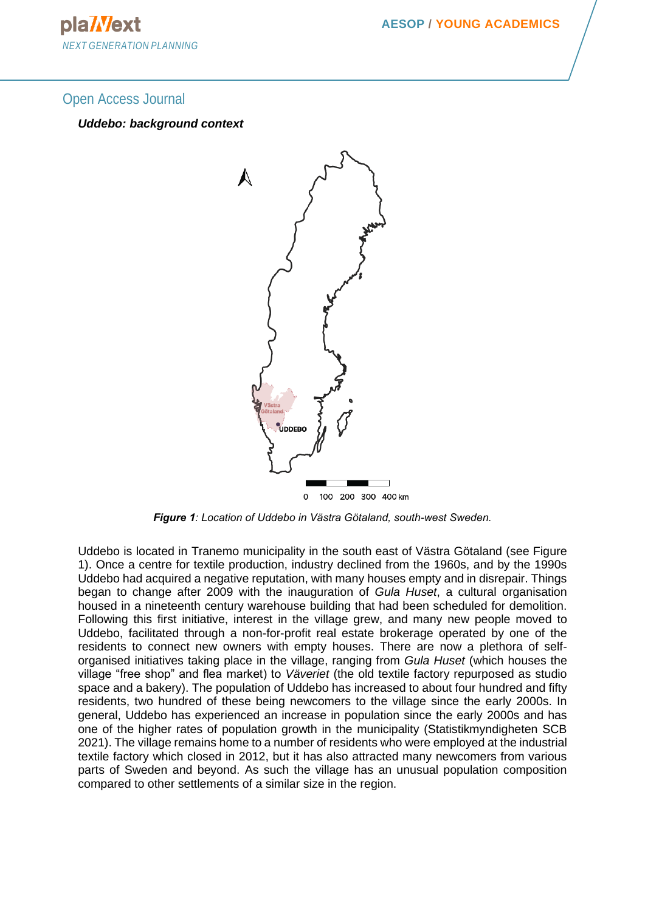plaWext *NEXT GENERATION PLANNING*

#### Open Access Journal

#### *Uddebo: background context*



*Figure 1: Location of Uddebo in Västra Götaland, south-west Sweden.*

Uddebo is located in Tranemo municipality in the south east of Västra Götaland (see Figure 1). Once a centre for textile production, industry declined from the 1960s, and by the 1990s Uddebo had acquired a negative reputation, with many houses empty and in disrepair. Things began to change after 2009 with the inauguration of *Gula Huset*, a cultural organisation housed in a nineteenth century warehouse building that had been scheduled for demolition. Following this first initiative, interest in the village grew, and many new people moved to Uddebo, facilitated through a non-for-profit real estate brokerage operated by one of the residents to connect new owners with empty houses. There are now a plethora of selforganised initiatives taking place in the village, ranging from *Gula Huset* (which houses the village "free shop" and flea market) to *Väveriet* (the old textile factory repurposed as studio space and a bakery). The population of Uddebo has increased to about four hundred and fifty residents, two hundred of these being newcomers to the village since the early 2000s. In general, Uddebo has experienced an increase in population since the early 2000s and has one of the higher rates of population growth in the municipality (Statistikmyndigheten SCB 2021). The village remains home to a number of residents who were employed at the industrial textile factory which closed in 2012, but it has also attracted many newcomers from various parts of Sweden and beyond. As such the village has an unusual population composition compared to other settlements of a similar size in the region.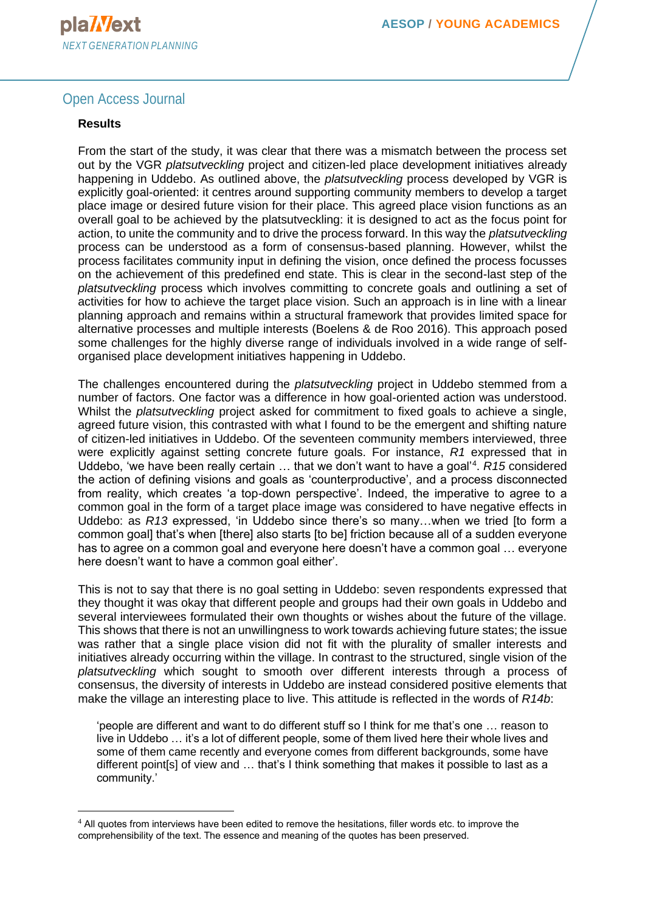#### **Results**

From the start of the study, it was clear that there was a mismatch between the process set out by the VGR *platsutveckling* project and citizen-led place development initiatives already happening in Uddebo. As outlined above, the *platsutveckling* process developed by VGR is explicitly goal-oriented: it centres around supporting community members to develop a target place image or desired future vision for their place. This agreed place vision functions as an overall goal to be achieved by the platsutveckling: it is designed to act as the focus point for action, to unite the community and to drive the process forward. In this way the *platsutveckling*  process can be understood as a form of consensus-based planning. However, whilst the process facilitates community input in defining the vision, once defined the process focusses on the achievement of this predefined end state. This is clear in the second-last step of the *platsutveckling* process which involves committing to concrete goals and outlining a set of activities for how to achieve the target place vision. Such an approach is in line with a linear planning approach and remains within a structural framework that provides limited space for alternative processes and multiple interests (Boelens & de Roo 2016). This approach posed some challenges for the highly diverse range of individuals involved in a wide range of selforganised place development initiatives happening in Uddebo.

The challenges encountered during the *platsutveckling* project in Uddebo stemmed from a number of factors. One factor was a difference in how goal-oriented action was understood. Whilst the *platsutveckling* project asked for commitment to fixed goals to achieve a single, agreed future vision, this contrasted with what I found to be the emergent and shifting nature of citizen-led initiatives in Uddebo. Of the seventeen community members interviewed, three were explicitly against setting concrete future goals. For instance, *R1* expressed that in Uddebo, 'we have been really certain … that we don't want to have a goal'<sup>4</sup> . *R15* considered the action of defining visions and goals as 'counterproductive', and a process disconnected from reality, which creates 'a top-down perspective'. Indeed, the imperative to agree to a common goal in the form of a target place image was considered to have negative effects in Uddebo: as *R13* expressed, 'in Uddebo since there's so many…when we tried [to form a common goal] that's when [there] also starts [to be] friction because all of a sudden everyone has to agree on a common goal and everyone here doesn't have a common goal … everyone here doesn't want to have a common goal either'.

This is not to say that there is no goal setting in Uddebo: seven respondents expressed that they thought it was okay that different people and groups had their own goals in Uddebo and several interviewees formulated their own thoughts or wishes about the future of the village. This shows that there is not an unwillingness to work towards achieving future states; the issue was rather that a single place vision did not fit with the plurality of smaller interests and initiatives already occurring within the village. In contrast to the structured, single vision of the *platsutveckling* which sought to smooth over different interests through a process of consensus, the diversity of interests in Uddebo are instead considered positive elements that make the village an interesting place to live. This attitude is reflected in the words of *R14b*:

'people are different and want to do different stuff so I think for me that's one … reason to live in Uddebo … it's a lot of different people, some of them lived here their whole lives and some of them came recently and everyone comes from different backgrounds, some have different point[s] of view and … that's I think something that makes it possible to last as a community.'

 $4$  All quotes from interviews have been edited to remove the hesitations, filler words etc. to improve the comprehensibility of the text. The essence and meaning of the quotes has been preserved.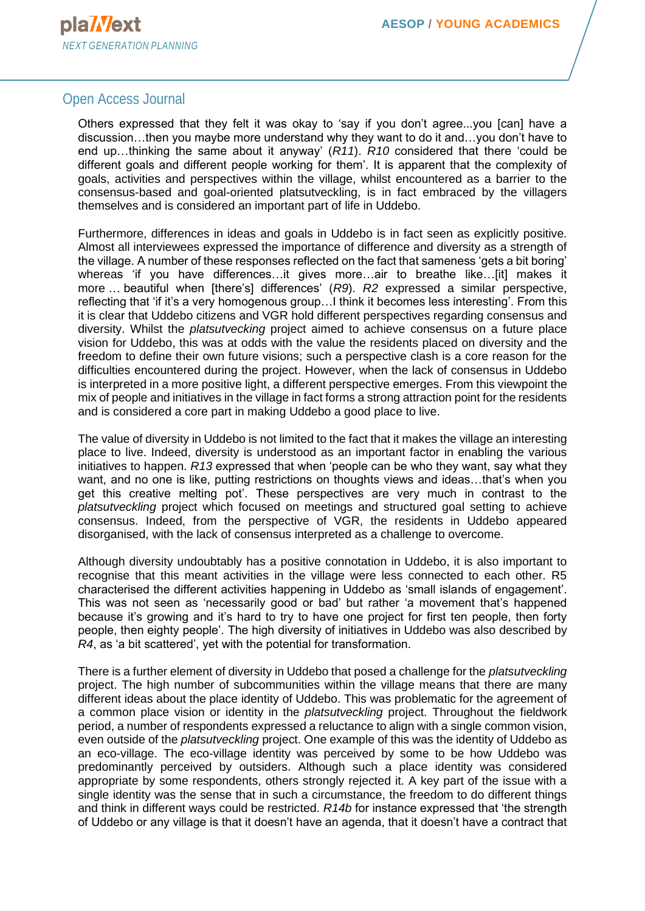Others expressed that they felt it was okay to 'say if you don't agree...you [can] have a discussion…then you maybe more understand why they want to do it and…you don't have to end up…thinking the same about it anyway' (*R11*). *R10* considered that there 'could be different goals and different people working for them'. It is apparent that the complexity of goals, activities and perspectives within the village, whilst encountered as a barrier to the consensus-based and goal-oriented platsutveckling, is in fact embraced by the villagers themselves and is considered an important part of life in Uddebo.

Furthermore, differences in ideas and goals in Uddebo is in fact seen as explicitly positive. Almost all interviewees expressed the importance of difference and diversity as a strength of the village. A number of these responses reflected on the fact that sameness 'gets a bit boring' whereas 'if you have differences...it gives more...air to breathe like...[it] makes it more … beautiful when [there's] differences' (*R9*). *R2* expressed a similar perspective, reflecting that 'if it's a very homogenous group…I think it becomes less interesting'. From this it is clear that Uddebo citizens and VGR hold different perspectives regarding consensus and diversity. Whilst the *platsutvecking* project aimed to achieve consensus on a future place vision for Uddebo, this was at odds with the value the residents placed on diversity and the freedom to define their own future visions; such a perspective clash is a core reason for the difficulties encountered during the project. However, when the lack of consensus in Uddebo is interpreted in a more positive light, a different perspective emerges. From this viewpoint the mix of people and initiatives in the village in fact forms a strong attraction point for the residents and is considered a core part in making Uddebo a good place to live.

The value of diversity in Uddebo is not limited to the fact that it makes the village an interesting place to live. Indeed, diversity is understood as an important factor in enabling the various initiatives to happen. *R13* expressed that when 'people can be who they want, say what they want, and no one is like, putting restrictions on thoughts views and ideas…that's when you get this creative melting pot'. These perspectives are very much in contrast to the *platsutveckling* project which focused on meetings and structured goal setting to achieve consensus. Indeed, from the perspective of VGR, the residents in Uddebo appeared disorganised, with the lack of consensus interpreted as a challenge to overcome.

Although diversity undoubtably has a positive connotation in Uddebo, it is also important to recognise that this meant activities in the village were less connected to each other. R5 characterised the different activities happening in Uddebo as 'small islands of engagement'. This was not seen as 'necessarily good or bad' but rather 'a movement that's happened because it's growing and it's hard to try to have one project for first ten people, then forty people, then eighty people'. The high diversity of initiatives in Uddebo was also described by *R4*, as 'a bit scattered', yet with the potential for transformation.

There is a further element of diversity in Uddebo that posed a challenge for the *platsutveckling*  project. The high number of subcommunities within the village means that there are many different ideas about the place identity of Uddebo. This was problematic for the agreement of a common place vision or identity in the *platsutveckling* project. Throughout the fieldwork period, a number of respondents expressed a reluctance to align with a single common vision, even outside of the *platsutveckling* project. One example of this was the identity of Uddebo as an eco-village. The eco-village identity was perceived by some to be how Uddebo was predominantly perceived by outsiders. Although such a place identity was considered appropriate by some respondents, others strongly rejected it. A key part of the issue with a single identity was the sense that in such a circumstance, the freedom to do different things and think in different ways could be restricted. *R14b* for instance expressed that 'the strength of Uddebo or any village is that it doesn't have an agenda, that it doesn't have a contract that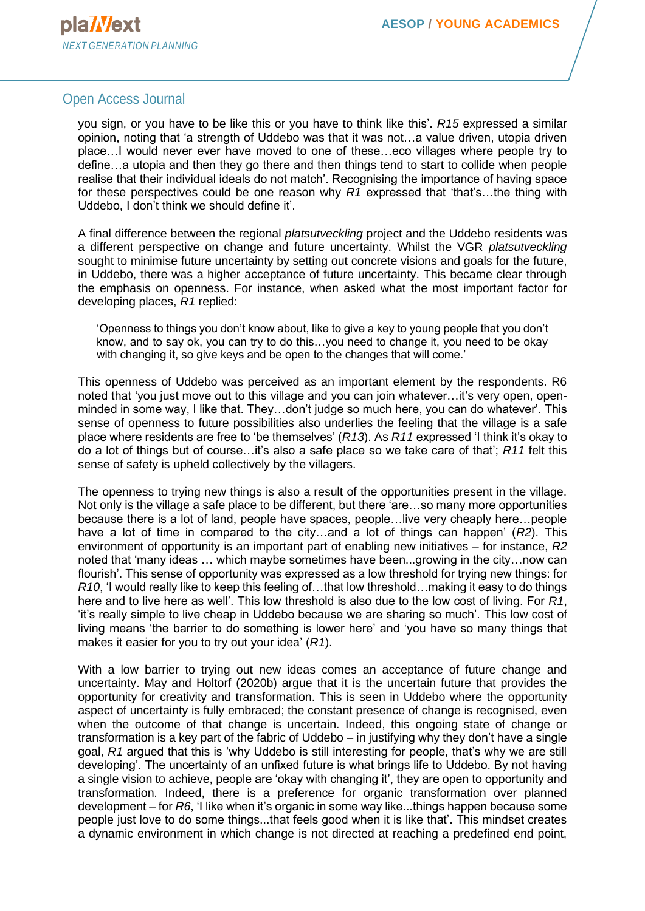you sign, or you have to be like this or you have to think like this'. *R15* expressed a similar opinion, noting that 'a strength of Uddebo was that it was not…a value driven, utopia driven place…I would never ever have moved to one of these…eco villages where people try to define…a utopia and then they go there and then things tend to start to collide when people realise that their individual ideals do not match'. Recognising the importance of having space for these perspectives could be one reason why *R1* expressed that 'that's…the thing with Uddebo, I don't think we should define it'.

A final difference between the regional *platsutveckling* project and the Uddebo residents was a different perspective on change and future uncertainty. Whilst the VGR *platsutveckling*  sought to minimise future uncertainty by setting out concrete visions and goals for the future, in Uddebo, there was a higher acceptance of future uncertainty. This became clear through the emphasis on openness. For instance, when asked what the most important factor for developing places, *R1* replied:

'Openness to things you don't know about, like to give a key to young people that you don't know, and to say ok, you can try to do this…you need to change it, you need to be okay with changing it, so give keys and be open to the changes that will come.'

This openness of Uddebo was perceived as an important element by the respondents. R6 noted that 'you just move out to this village and you can join whatever…it's very open, openminded in some way, I like that. They…don't judge so much here, you can do whatever'. This sense of openness to future possibilities also underlies the feeling that the village is a safe place where residents are free to 'be themselves' (*R13*). As *R11* expressed 'I think it's okay to do a lot of things but of course…it's also a safe place so we take care of that'; *R11* felt this sense of safety is upheld collectively by the villagers.

The openness to trying new things is also a result of the opportunities present in the village. Not only is the village a safe place to be different, but there 'are…so many more opportunities because there is a lot of land, people have spaces, people…live very cheaply here…people have a lot of time in compared to the city…and a lot of things can happen' (*R2*). This environment of opportunity is an important part of enabling new initiatives – for instance, *R2* noted that 'many ideas … which maybe sometimes have been...growing in the city…now can flourish'. This sense of opportunity was expressed as a low threshold for trying new things: for *R10*, 'I would really like to keep this feeling of…that low threshold…making it easy to do things here and to live here as well'. This low threshold is also due to the low cost of living. For *R1*, 'it's really simple to live cheap in Uddebo because we are sharing so much'. This low cost of living means 'the barrier to do something is lower here' and 'you have so many things that makes it easier for you to try out your idea' (*R1*).

With a low barrier to trying out new ideas comes an acceptance of future change and uncertainty. May and Holtorf (2020b) argue that it is the uncertain future that provides the opportunity for creativity and transformation. This is seen in Uddebo where the opportunity aspect of uncertainty is fully embraced; the constant presence of change is recognised, even when the outcome of that change is uncertain. Indeed, this ongoing state of change or transformation is a key part of the fabric of Uddebo – in justifying why they don't have a single goal, *R1* argued that this is 'why Uddebo is still interesting for people, that's why we are still developing'. The uncertainty of an unfixed future is what brings life to Uddebo. By not having a single vision to achieve, people are 'okay with changing it', they are open to opportunity and transformation. Indeed, there is a preference for organic transformation over planned development – for *R6*, 'I like when it's organic in some way like...things happen because some people just love to do some things...that feels good when it is like that'. This mindset creates a dynamic environment in which change is not directed at reaching a predefined end point,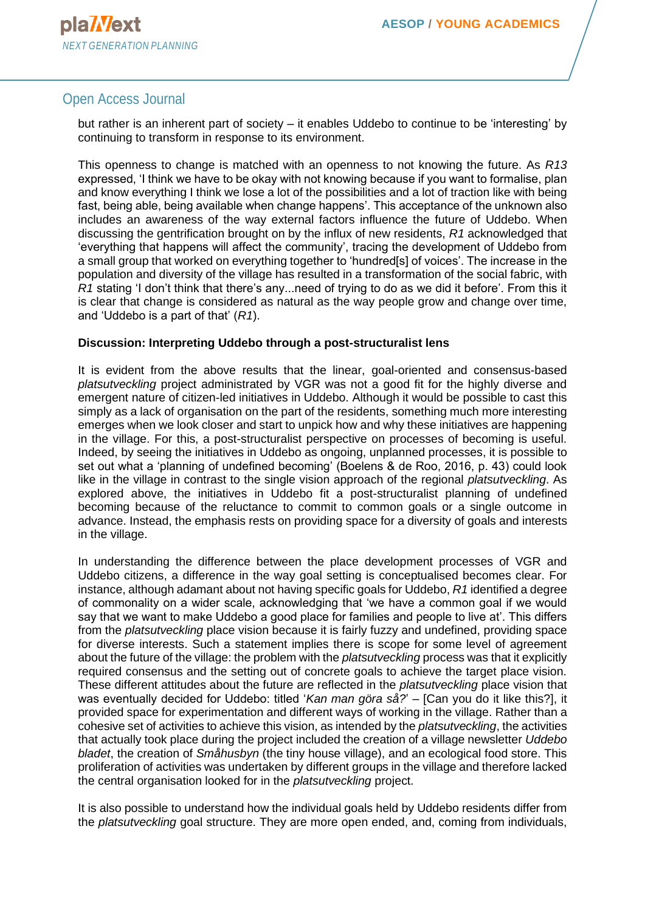but rather is an inherent part of society – it enables Uddebo to continue to be 'interesting' by continuing to transform in response to its environment.

This openness to change is matched with an openness to not knowing the future. As *R13* expressed, 'I think we have to be okay with not knowing because if you want to formalise, plan and know everything I think we lose a lot of the possibilities and a lot of traction like with being fast, being able, being available when change happens'. This acceptance of the unknown also includes an awareness of the way external factors influence the future of Uddebo. When discussing the gentrification brought on by the influx of new residents, *R1* acknowledged that 'everything that happens will affect the community', tracing the development of Uddebo from a small group that worked on everything together to 'hundred[s] of voices'. The increase in the population and diversity of the village has resulted in a transformation of the social fabric, with *R1* stating 'I don't think that there's any...need of trying to do as we did it before'. From this it is clear that change is considered as natural as the way people grow and change over time, and 'Uddebo is a part of that' (*R1*).

#### **Discussion: Interpreting Uddebo through a post-structuralist lens**

It is evident from the above results that the linear, goal-oriented and consensus-based *platsutveckling* project administrated by VGR was not a good fit for the highly diverse and emergent nature of citizen-led initiatives in Uddebo. Although it would be possible to cast this simply as a lack of organisation on the part of the residents, something much more interesting emerges when we look closer and start to unpick how and why these initiatives are happening in the village. For this, a post-structuralist perspective on processes of becoming is useful. Indeed, by seeing the initiatives in Uddebo as ongoing, unplanned processes, it is possible to set out what a 'planning of undefined becoming' (Boelens & de Roo, 2016, p. 43) could look like in the village in contrast to the single vision approach of the regional *platsutveckling*. As explored above, the initiatives in Uddebo fit a post-structuralist planning of undefined becoming because of the reluctance to commit to common goals or a single outcome in advance. Instead, the emphasis rests on providing space for a diversity of goals and interests in the village.

In understanding the difference between the place development processes of VGR and Uddebo citizens, a difference in the way goal setting is conceptualised becomes clear. For instance, although adamant about not having specific goals for Uddebo, *R1* identified a degree of commonality on a wider scale, acknowledging that 'we have a common goal if we would say that we want to make Uddebo a good place for families and people to live at'. This differs from the *platsutveckling* place vision because it is fairly fuzzy and undefined, providing space for diverse interests. Such a statement implies there is scope for some level of agreement about the future of the village: the problem with the *platsutveckling* process was that it explicitly required consensus and the setting out of concrete goals to achieve the target place vision. These different attitudes about the future are reflected in the *platsutveckling* place vision that was eventually decided for Uddebo: titled '*Kan man göra så?*' – [Can you do it like this?], it provided space for experimentation and different ways of working in the village. Rather than a cohesive set of activities to achieve this vision, as intended by the *platsutveckling*, the activities that actually took place during the project included the creation of a village newsletter *Uddebo bladet*, the creation of *Småhusbyn* (the tiny house village), and an ecological food store. This proliferation of activities was undertaken by different groups in the village and therefore lacked the central organisation looked for in the *platsutveckling* project.

It is also possible to understand how the individual goals held by Uddebo residents differ from the *platsutveckling* goal structure. They are more open ended, and, coming from individuals,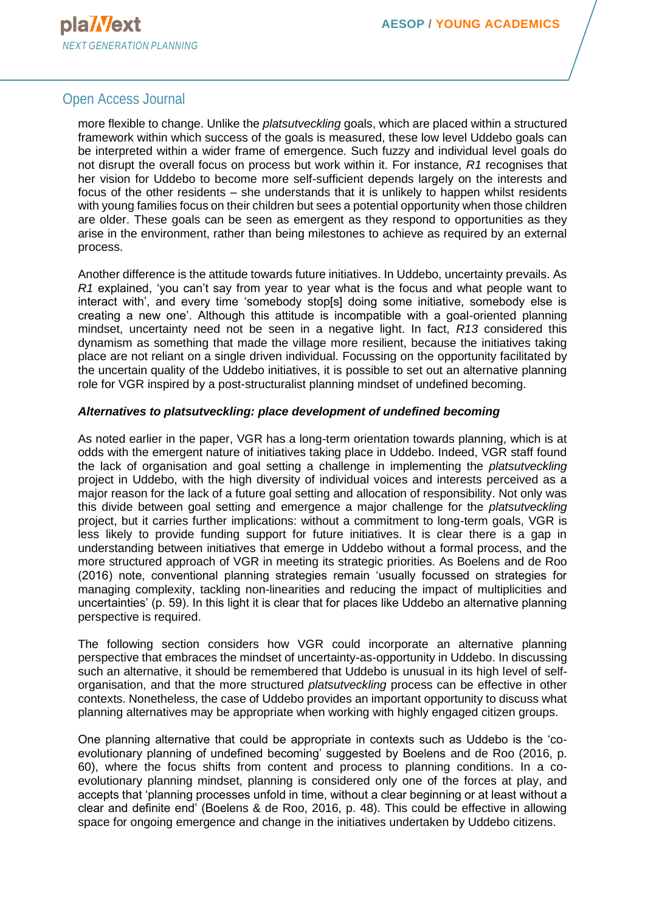more flexible to change. Unlike the *platsutveckling* goals, which are placed within a structured framework within which success of the goals is measured, these low level Uddebo goals can be interpreted within a wider frame of emergence. Such fuzzy and individual level goals do not disrupt the overall focus on process but work within it. For instance, *R1* recognises that her vision for Uddebo to become more self-sufficient depends largely on the interests and focus of the other residents – she understands that it is unlikely to happen whilst residents with young families focus on their children but sees a potential opportunity when those children are older. These goals can be seen as emergent as they respond to opportunities as they arise in the environment, rather than being milestones to achieve as required by an external process.

Another difference is the attitude towards future initiatives. In Uddebo, uncertainty prevails. As *R1* explained, 'you can't say from year to year what is the focus and what people want to interact with', and every time 'somebody stop[s] doing some initiative, somebody else is creating a new one'. Although this attitude is incompatible with a goal-oriented planning mindset, uncertainty need not be seen in a negative light. In fact, *R13* considered this dynamism as something that made the village more resilient, because the initiatives taking place are not reliant on a single driven individual. Focussing on the opportunity facilitated by the uncertain quality of the Uddebo initiatives, it is possible to set out an alternative planning role for VGR inspired by a post-structuralist planning mindset of undefined becoming.

#### *Alternatives to platsutveckling: place development of undefined becoming*

As noted earlier in the paper, VGR has a long-term orientation towards planning, which is at odds with the emergent nature of initiatives taking place in Uddebo. Indeed, VGR staff found the lack of organisation and goal setting a challenge in implementing the *platsutveckling* project in Uddebo, with the high diversity of individual voices and interests perceived as a major reason for the lack of a future goal setting and allocation of responsibility. Not only was this divide between goal setting and emergence a major challenge for the *platsutveckling* project, but it carries further implications: without a commitment to long-term goals, VGR is less likely to provide funding support for future initiatives. It is clear there is a gap in understanding between initiatives that emerge in Uddebo without a formal process, and the more structured approach of VGR in meeting its strategic priorities. As Boelens and de Roo (2016) note, conventional planning strategies remain 'usually focussed on strategies for managing complexity, tackling non-linearities and reducing the impact of multiplicities and uncertainties' (p. 59). In this light it is clear that for places like Uddebo an alternative planning perspective is required.

The following section considers how VGR could incorporate an alternative planning perspective that embraces the mindset of uncertainty-as-opportunity in Uddebo. In discussing such an alternative, it should be remembered that Uddebo is unusual in its high level of selforganisation, and that the more structured *platsutveckling* process can be effective in other contexts. Nonetheless, the case of Uddebo provides an important opportunity to discuss what planning alternatives may be appropriate when working with highly engaged citizen groups.

One planning alternative that could be appropriate in contexts such as Uddebo is the 'coevolutionary planning of undefined becoming' suggested by Boelens and de Roo (2016, p. 60), where the focus shifts from content and process to planning conditions. In a coevolutionary planning mindset, planning is considered only one of the forces at play, and accepts that 'planning processes unfold in time, without a clear beginning or at least without a clear and definite end' (Boelens & de Roo, 2016, p. 48). This could be effective in allowing space for ongoing emergence and change in the initiatives undertaken by Uddebo citizens.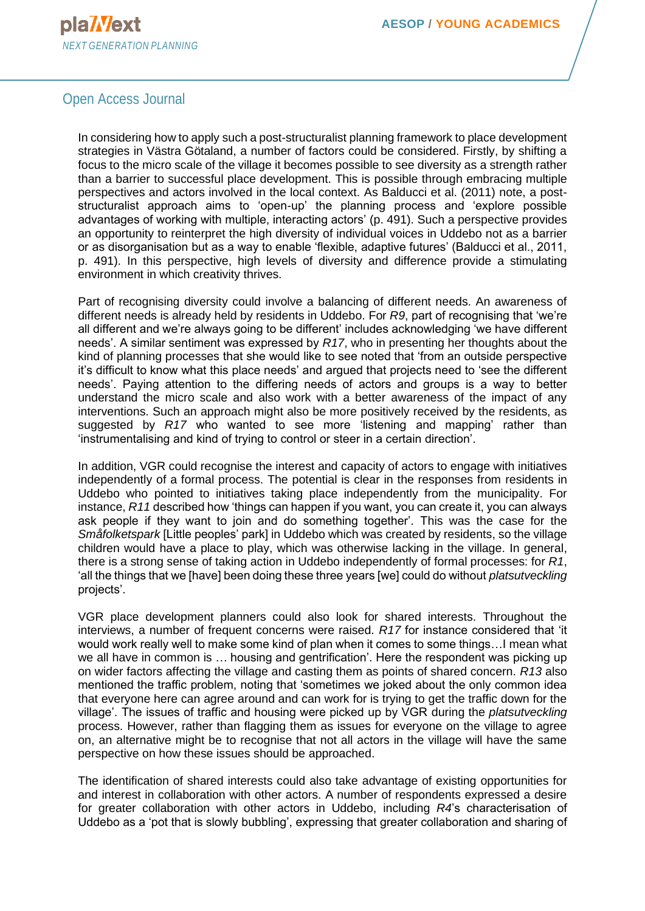

In considering how to apply such a post-structuralist planning framework to place development strategies in Västra Götaland, a number of factors could be considered. Firstly, by shifting a focus to the micro scale of the village it becomes possible to see diversity as a strength rather than a barrier to successful place development. This is possible through embracing multiple perspectives and actors involved in the local context. As Balducci et al. (2011) note, a poststructuralist approach aims to 'open-up' the planning process and 'explore possible advantages of working with multiple, interacting actors' (p. 491). Such a perspective provides an opportunity to reinterpret the high diversity of individual voices in Uddebo not as a barrier or as disorganisation but as a way to enable 'flexible, adaptive futures' (Balducci et al., 2011, p. 491). In this perspective, high levels of diversity and difference provide a stimulating environment in which creativity thrives.

Part of recognising diversity could involve a balancing of different needs. An awareness of different needs is already held by residents in Uddebo. For *R9*, part of recognising that 'we're all different and we're always going to be different' includes acknowledging 'we have different needs'. A similar sentiment was expressed by *R17*, who in presenting her thoughts about the kind of planning processes that she would like to see noted that 'from an outside perspective it's difficult to know what this place needs' and argued that projects need to 'see the different needs'. Paying attention to the differing needs of actors and groups is a way to better understand the micro scale and also work with a better awareness of the impact of any interventions. Such an approach might also be more positively received by the residents, as suggested by *R17* who wanted to see more 'listening and mapping' rather than 'instrumentalising and kind of trying to control or steer in a certain direction'.

In addition, VGR could recognise the interest and capacity of actors to engage with initiatives independently of a formal process. The potential is clear in the responses from residents in Uddebo who pointed to initiatives taking place independently from the municipality. For instance, *R11* described how 'things can happen if you want, you can create it, you can always ask people if they want to join and do something together'. This was the case for the *Småfolketspark* [Little peoples' park] in Uddebo which was created by residents, so the village children would have a place to play, which was otherwise lacking in the village. In general, there is a strong sense of taking action in Uddebo independently of formal processes: for *R1*, 'all the things that we [have] been doing these three years [we] could do without *platsutveckling*  projects'.

VGR place development planners could also look for shared interests. Throughout the interviews, a number of frequent concerns were raised. *R17* for instance considered that 'it would work really well to make some kind of plan when it comes to some things…I mean what we all have in common is … housing and gentrification'. Here the respondent was picking up on wider factors affecting the village and casting them as points of shared concern. *R13* also mentioned the traffic problem, noting that 'sometimes we joked about the only common idea that everyone here can agree around and can work for is trying to get the traffic down for the village'. The issues of traffic and housing were picked up by VGR during the *platsutveckling*  process. However, rather than flagging them as issues for everyone on the village to agree on, an alternative might be to recognise that not all actors in the village will have the same perspective on how these issues should be approached.

The identification of shared interests could also take advantage of existing opportunities for and interest in collaboration with other actors. A number of respondents expressed a desire for greater collaboration with other actors in Uddebo, including *R4*'s characterisation of Uddebo as a 'pot that is slowly bubbling', expressing that greater collaboration and sharing of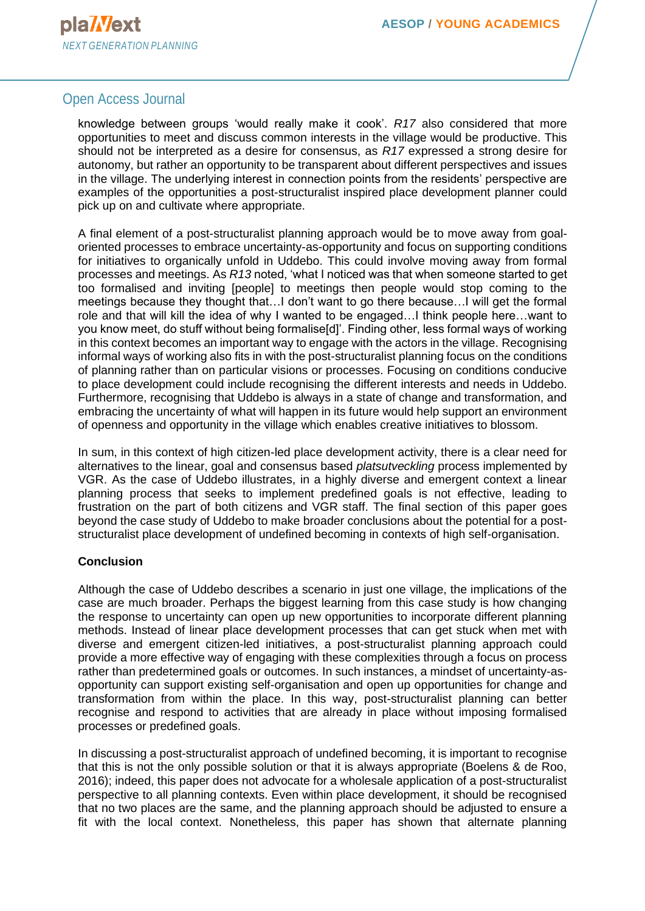knowledge between groups 'would really make it cook'. *R17* also considered that more opportunities to meet and discuss common interests in the village would be productive. This should not be interpreted as a desire for consensus, as *R17* expressed a strong desire for autonomy, but rather an opportunity to be transparent about different perspectives and issues in the village. The underlying interest in connection points from the residents' perspective are examples of the opportunities a post-structuralist inspired place development planner could pick up on and cultivate where appropriate.

A final element of a post-structuralist planning approach would be to move away from goaloriented processes to embrace uncertainty-as-opportunity and focus on supporting conditions for initiatives to organically unfold in Uddebo. This could involve moving away from formal processes and meetings. As *R13* noted, 'what I noticed was that when someone started to get too formalised and inviting [people] to meetings then people would stop coming to the meetings because they thought that…I don't want to go there because…I will get the formal role and that will kill the idea of why I wanted to be engaged…I think people here…want to you know meet, do stuff without being formalise[d]'. Finding other, less formal ways of working in this context becomes an important way to engage with the actors in the village. Recognising informal ways of working also fits in with the post-structuralist planning focus on the conditions of planning rather than on particular visions or processes. Focusing on conditions conducive to place development could include recognising the different interests and needs in Uddebo. Furthermore, recognising that Uddebo is always in a state of change and transformation, and embracing the uncertainty of what will happen in its future would help support an environment of openness and opportunity in the village which enables creative initiatives to blossom.

In sum, in this context of high citizen-led place development activity, there is a clear need for alternatives to the linear, goal and consensus based *platsutveckling* process implemented by VGR. As the case of Uddebo illustrates, in a highly diverse and emergent context a linear planning process that seeks to implement predefined goals is not effective, leading to frustration on the part of both citizens and VGR staff. The final section of this paper goes beyond the case study of Uddebo to make broader conclusions about the potential for a poststructuralist place development of undefined becoming in contexts of high self-organisation.

#### **Conclusion**

Although the case of Uddebo describes a scenario in just one village, the implications of the case are much broader. Perhaps the biggest learning from this case study is how changing the response to uncertainty can open up new opportunities to incorporate different planning methods. Instead of linear place development processes that can get stuck when met with diverse and emergent citizen-led initiatives, a post-structuralist planning approach could provide a more effective way of engaging with these complexities through a focus on process rather than predetermined goals or outcomes. In such instances, a mindset of uncertainty-asopportunity can support existing self-organisation and open up opportunities for change and transformation from within the place. In this way, post-structuralist planning can better recognise and respond to activities that are already in place without imposing formalised processes or predefined goals.

In discussing a post-structuralist approach of undefined becoming, it is important to recognise that this is not the only possible solution or that it is always appropriate (Boelens & de Roo, 2016); indeed, this paper does not advocate for a wholesale application of a post-structuralist perspective to all planning contexts. Even within place development, it should be recognised that no two places are the same, and the planning approach should be adjusted to ensure a fit with the local context. Nonetheless, this paper has shown that alternate planning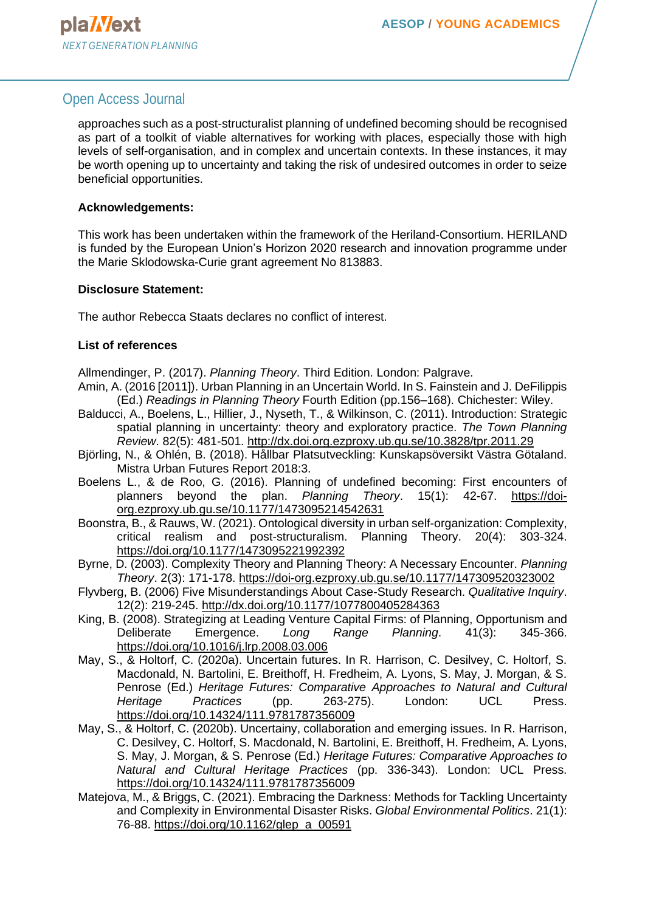approaches such as a post-structuralist planning of undefined becoming should be recognised as part of a toolkit of viable alternatives for working with places, especially those with high levels of self-organisation, and in complex and uncertain contexts. In these instances, it may be worth opening up to uncertainty and taking the risk of undesired outcomes in order to seize beneficial opportunities.

#### **Acknowledgements:**

This work has been undertaken within the framework of the Heriland-Consortium. HERILAND is funded by the European Union's Horizon 2020 research and innovation programme under the Marie Sklodowska-Curie grant agreement No 813883.

#### **Disclosure Statement:**

The author Rebecca Staats declares no conflict of interest.

#### **List of references**

Allmendinger, P. (2017). *Planning Theory*. Third Edition. London: Palgrave.

- Amin, A. (2016 [2011]). Urban Planning in an Uncertain World. In S. Fainstein and J. DeFilippis (Ed.) *Readings in Planning Theory* Fourth Edition (pp.156–168). Chichester: Wiley.
- Balducci, A., Boelens, L., Hillier, J., Nyseth, T., & Wilkinson, C. (2011). Introduction: Strategic spatial planning in uncertainty: theory and exploratory practice. *The Town Planning Review*. 82(5): 481-501. <http://dx.doi.org.ezproxy.ub.gu.se/10.3828/tpr.2011.29>
- Björling, N., & Ohlén, B. (2018). Hållbar Platsutveckling: Kunskapsöversikt Västra Götaland. Mistra Urban Futures Report 2018:3.
- Boelens L., & de Roo, G. (2016). Planning of undefined becoming: First encounters of planners beyond the plan. *Planning Theory*. 15(1): 42-67. [https://doi](https://doi-org.ezproxy.ub.gu.se/10.1177/1473095214542631)[org.ezproxy.ub.gu.se/10.1177/1473095214542631](https://doi-org.ezproxy.ub.gu.se/10.1177/1473095214542631)
- Boonstra, B., & Rauws, W. (2021). Ontological diversity in urban self-organization: Complexity, critical realism and post-structuralism. Planning Theory. 20(4): 303-324. [https://doi.org/10.1177/1473095221992392](https://doi.org/10.1177%2F1473095221992392)
- Byrne, D. (2003). Complexity Theory and Planning Theory: A Necessary Encounter. *Planning Theory*. 2(3): 171-178. [https://doi-org.ezproxy.ub.gu.se/10.1177/147309520323002](https://doi-org.ezproxy.ub.gu.se/10.1177%2F147309520323002)
- Flyvberg, B. (2006) Five Misunderstandings About Case-Study Research. *Qualitative Inquiry*. 12(2): 219-245. <http://dx.doi.org/10.1177/1077800405284363>
- King, B. (2008). Strategizing at Leading Venture Capital Firms: of Planning, Opportunism and Deliberate Emergence. *Long Range Planning*. 41(3): 345-366. <https://doi.org/10.1016/j.lrp.2008.03.006>
- May, S., & Holtorf, C. (2020a). Uncertain futures. In R. Harrison, C. Desilvey, C. Holtorf, S. Macdonald, N. Bartolini, E. Breithoff, H. Fredheim, A. Lyons, S. May, J. Morgan, & S. Penrose (Ed.) *Heritage Futures: Comparative Approaches to Natural and Cultural Heritage Practices* (pp. 263-275). London: UCL Press. <https://doi.org/10.14324/111.9781787356009>
- May, S., & Holtorf, C. (2020b). Uncertainy, collaboration and emerging issues. In R. Harrison, C. Desilvey, C. Holtorf, S. Macdonald, N. Bartolini, E. Breithoff, H. Fredheim, A. Lyons, S. May, J. Morgan, & S. Penrose (Ed.) *Heritage Futures: Comparative Approaches to Natural and Cultural Heritage Practices* (pp. 336-343). London: UCL Press. <https://doi.org/10.14324/111.9781787356009>
- Matejova, M., & Briggs, C. (2021). Embracing the Darkness: Methods for Tackling Uncertainty and Complexity in Environmental Disaster Risks. *Global Environmental Politics*. 21(1): 76-88. [https://doi.org/10.1162/glep\\_a\\_00591](https://doi.org/10.1162/glep_a_00591)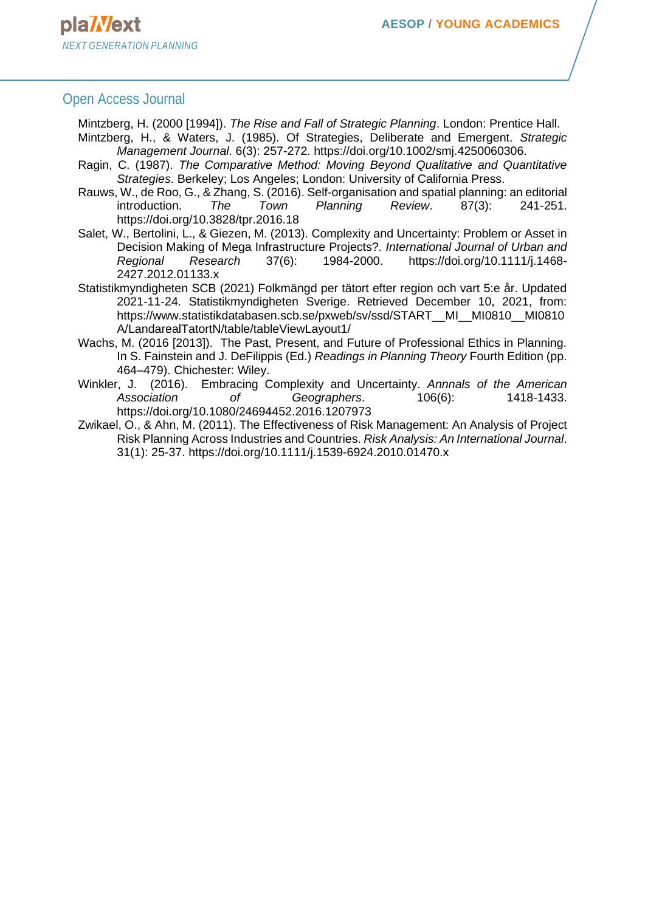Mintzberg, H. (2000 [1994]). *The Rise and Fall of Strategic Planning*. London: Prentice Hall.

- Mintzberg, H., & Waters, J. (1985). Of Strategies, Deliberate and Emergent. *Strategic Management Journal*. 6(3): 257-272. https://doi.org/10.1002/smj.4250060306.
- Ragin, C. (1987). *The Comparative Method: Moving Beyond Qualitative and Quantitative Strategies*. Berkeley; Los Angeles; London: University of California Press.
- Rauws, W., de Roo, G., & Zhang, S. (2016). Self-organisation and spatial planning: an editorial introduction. *The Town Planning Review*. 87(3): 241-251. https://doi.org/10.3828/tpr.2016.18
- Salet, W., Bertolini, L., & Giezen, M. (2013). Complexity and Uncertainty: Problem or Asset in Decision Making of Mega Infrastructure Projects?. *International Journal of Urban and Regional Research* 37(6): 1984-2000. https://doi.org/10.1111/j.1468- 2427.2012.01133.x
- Statistikmyndigheten SCB (2021) Folkmängd per tätort efter region och vart 5:e år. Updated 2021-11-24. Statistikmyndigheten Sverige. Retrieved December 10, 2021, from: https://www.statistikdatabasen.scb.se/pxweb/sv/ssd/START\_\_MI\_\_MI0810\_\_MI0810 A/LandarealTatortN/table/tableViewLayout1/
- Wachs, M. (2016 [2013]). The Past, Present, and Future of Professional Ethics in Planning. In S. Fainstein and J. DeFilippis (Ed.) *Readings in Planning Theory* Fourth Edition (pp. 464–479). Chichester: Wiley.
- Winkler, J. (2016). Embracing Complexity and Uncertainty. *Annnals of the American Association of Geographers*. 106(6): 1418-1433. https://doi.org/10.1080/24694452.2016.1207973
- Zwikael, O., & Ahn, M. (2011). The Effectiveness of Risk Management: An Analysis of Project Risk Planning Across Industries and Countries. *Risk Analysis: An International Journal*. 31(1): 25-37. https://doi.org/10.1111/j.1539-6924.2010.01470.x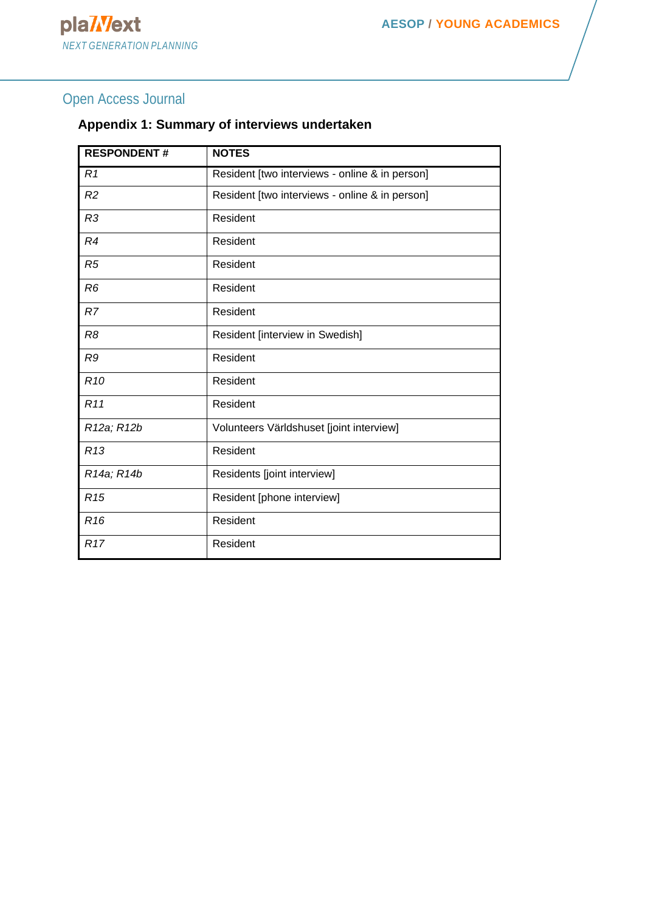### **Appendix 1: Summary of interviews undertaken**

| <b>RESPONDENT#</b>                  | <b>NOTES</b>                                   |  |  |
|-------------------------------------|------------------------------------------------|--|--|
| R1                                  | Resident [two interviews - online & in person] |  |  |
| R <sub>2</sub>                      | Resident [two interviews - online & in person] |  |  |
| R <sub>3</sub>                      | Resident                                       |  |  |
| R4                                  | Resident                                       |  |  |
| R5                                  | Resident                                       |  |  |
| R6                                  | Resident                                       |  |  |
| R7                                  | Resident                                       |  |  |
| R8                                  | Resident [interview in Swedish]                |  |  |
| R9                                  | Resident                                       |  |  |
| R <sub>10</sub>                     | Resident                                       |  |  |
| R <sub>11</sub>                     | Resident                                       |  |  |
| R <sub>12a</sub> ; R <sub>12b</sub> | Volunteers Världshuset [joint interview]       |  |  |
| R <sub>13</sub>                     | Resident                                       |  |  |
| R <sub>14a</sub> ; R <sub>14b</sub> | Residents [joint interview]                    |  |  |
| R <sub>15</sub>                     | Resident [phone interview]                     |  |  |
| R <sub>16</sub>                     | Resident                                       |  |  |
| R <sub>17</sub>                     | Resident                                       |  |  |